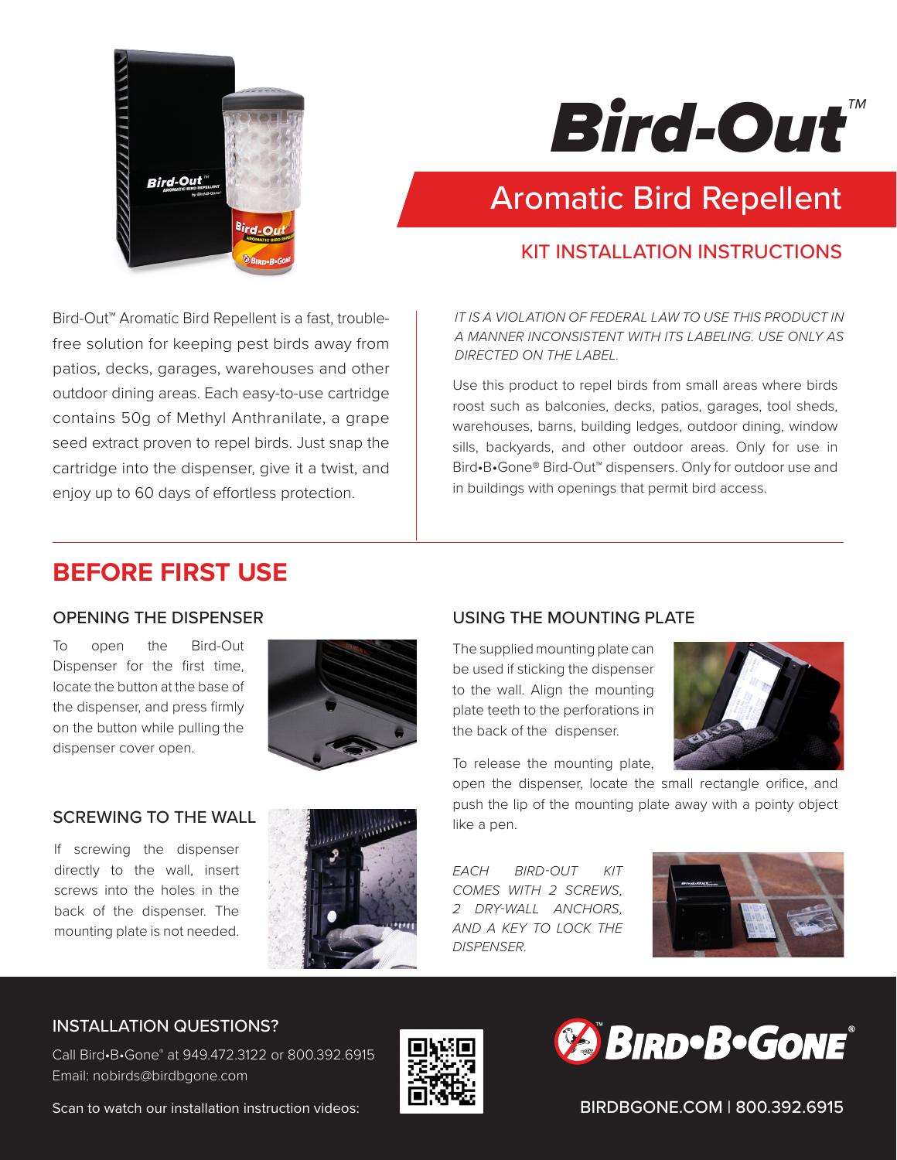

# *Bird-Out™*

## Aromatic Bird Repellent

#### KIT INSTALLATION INSTRUCTIONS

Bird-Out™ Aromatic Bird Repellent is a fast, troublefree solution for keeping pest birds away from patios, decks, garages, warehouses and other outdoor dining areas. Each easy-to-use cartridge contains 50g of Methyl Anthranilate, a grape seed extract proven to repel birds. Just snap the cartridge into the dispenser, give it a twist, and enjoy up to 60 days of effortless protection.

#### *IT IS A VIOLATION OF FEDERAL LAW TO USE THIS PRODUCT IN A MANNER INCONSISTENT WITH ITS LABELING. USE ONLY AS DIRECTED ON THE LABEL.*

Use this product to repel birds from small areas where birds roost such as balconies, decks, patios, garages, tool sheds, warehouses, barns, building ledges, outdoor dining, window sills, backyards, and other outdoor areas. Only for use in Bird•B•Gone® Bird-Out™ dispensers. Only for outdoor use and in buildings with openings that permit bird access.

### **BEFORE FIRST USE**

#### OPENING THE DISPENSER

To open the Bird-Out Dispenser for the first time, locate the button at the base of the dispenser, and press firmly on the button while pulling the dispenser cover open.



#### SCREWING TO THE WALL

If screwing the dispenser directly to the wall, insert screws into the holes in the back of the dispenser. The mounting plate is not needed.



#### USING THE MOUNTING PLATE

The supplied mounting plate can be used if sticking the dispenser to the wall. Align the mounting plate teeth to the perforations in the back of the dispenser.



To release the mounting plate,

open the dispenser, locate the small rectangle orifice, and push the lip of the mounting plate away with a pointy object like a pen.

*EACH BIRD-OUT KIT COMES WITH 2 SCREWS, 2 DRY-WALL ANCHORS, AND A KEY TO LOCK THE DISPENSER.* 



#### INSTALLATION QUESTIONS?

Call Bird•B•Gone® at 949.472.3122 or 800.392.6915 Email: nobirds@birdbgone.com





BIRDBGONE.COM | 800.392.6915

Scan to watch our installation instruction videos: